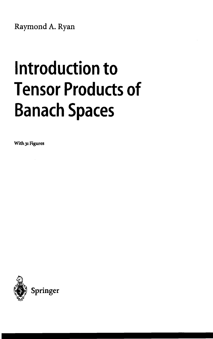Raymond A. Ryan

## **Introduction to Tensor Products of Banach Spaces**

**With 31 Figures**

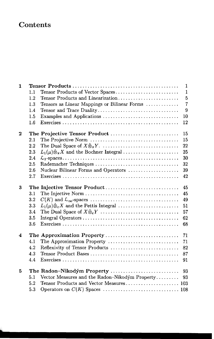## **Contents**

| $\mathbf{1}$     | $\mathbf{1}$ |                                                                 |                |  |
|------------------|--------------|-----------------------------------------------------------------|----------------|--|
|                  | 1.1          | Tensor Products of Vector Spaces                                | $\mathbf{1}$   |  |
|                  | 1.2          | Tensor Products and Linearization                               | $\overline{5}$ |  |
|                  | 1.3          | Tensors as Linear Mappings or Bilinear Forms                    | $\overline{7}$ |  |
|                  | 1.4          | Tensor and Trace Duality                                        | $\overline{9}$ |  |
|                  | 1.5          | Examples and Applications                                       | 10             |  |
|                  | $1.6\,$      |                                                                 | 12             |  |
| $\boldsymbol{2}$ |              | The Projective Tensor Product                                   | 15             |  |
|                  | 2.1          |                                                                 | 15             |  |
|                  | 2.2          |                                                                 | 22             |  |
|                  | 2.3          | $L_1(\mu)\hat{\otimes}_{\pi} X$ and the Bochner Integral        | 25             |  |
|                  | 2.4          |                                                                 | 30             |  |
|                  | 2.5          | Rademacher Techniques                                           | 32             |  |
|                  | 2.6          | Nuclear Bilinear Forms and Operators                            | 39             |  |
|                  | 2.7          |                                                                 | 42             |  |
| 3                |              | The Injective Tensor Product                                    | 45             |  |
|                  | 3.1          |                                                                 | 45             |  |
|                  | 3.2          |                                                                 | 49             |  |
|                  | 3.3          | $L_1(\mu)\hat{\otimes}_{\varepsilon} X$ and the Pettis Integral | 51             |  |
|                  | 3.4          |                                                                 | 57             |  |
|                  | 3.5          |                                                                 | 62             |  |
|                  | 3.6          |                                                                 | 68             |  |
| 4                |              | The Approximation Property                                      | 71             |  |
|                  | 4.1          | The Approximation Property                                      | 71             |  |
|                  | 4.2          | Reflexivity of Tensor Products                                  | 82             |  |
|                  | 4.3          |                                                                 | 87             |  |
|                  | 4.4          |                                                                 | 91             |  |
| 5                |              | The Radon-Nikodým Property                                      | 93             |  |
|                  | 5.1          | Vector Measures and the Radon-Nikodým Property                  | 93             |  |
|                  | 5.2          | Tensor Products and Vector Measures 103                         |                |  |
|                  | 5.3          |                                                                 |                |  |
|                  |              |                                                                 |                |  |